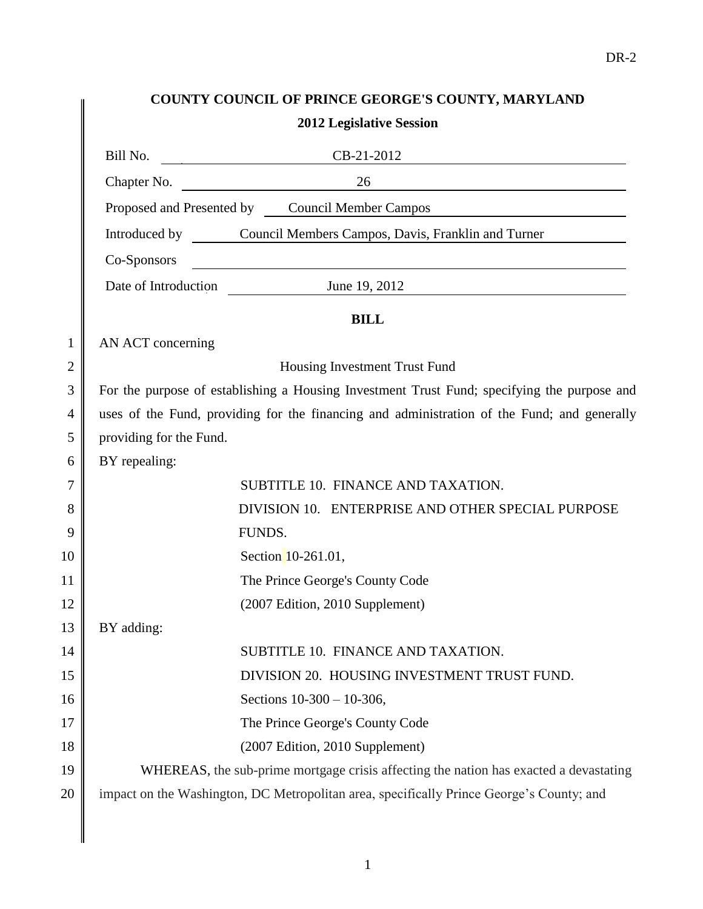# **COUNTY COUNCIL OF PRINCE GEORGE'S COUNTY, MARYLAND 2012 Legislative Session**

|                | COUNTY COUNCIL OF PRINCE GEORGE 5 COUNTY, MARYLAND                                    |                                                                                                                                            |  |
|----------------|---------------------------------------------------------------------------------------|--------------------------------------------------------------------------------------------------------------------------------------------|--|
|                |                                                                                       | <b>2012 Legislative Session</b>                                                                                                            |  |
|                | Bill No.                                                                              | CB-21-2012<br><u> La Carlo Carlo Carlo Carlo Carlo Carlo Carlo Carlo Carlo Carlo Carlo Carlo Carlo Carlo Carlo Carlo Carlo Carlo</u>       |  |
|                |                                                                                       | Chapter No.<br>26<br><u> 1989 - Johann Barbara, martin amerikan basar dan berasal dan berasal dalam basar dalam basar dalam basar dala</u> |  |
|                |                                                                                       | Proposed and Presented by Council Member Campos<br><u> 1980 - Andrea Andrew Maria (h. 1980).</u>                                           |  |
|                |                                                                                       | Introduced by Council Members Campos, Davis, Franklin and Turner                                                                           |  |
|                | Co-Sponsors                                                                           | <u> 1989 - Johann Stoff, deutscher Stoffen und der Stoffen und der Stoffen und der Stoffen und der Stoffen und de</u>                      |  |
|                |                                                                                       | Date of Introduction<br>June 19, 2012                                                                                                      |  |
|                |                                                                                       | <b>BILL</b>                                                                                                                                |  |
| $\mathbf{1}$   | AN ACT concerning                                                                     |                                                                                                                                            |  |
| $\overline{2}$ |                                                                                       | Housing Investment Trust Fund                                                                                                              |  |
| 3              |                                                                                       | For the purpose of establishing a Housing Investment Trust Fund; specifying the purpose and                                                |  |
| $\overline{4}$ |                                                                                       | uses of the Fund, providing for the financing and administration of the Fund; and generally                                                |  |
| 5              | providing for the Fund.                                                               |                                                                                                                                            |  |
| 6              | BY repealing:                                                                         |                                                                                                                                            |  |
| 7              |                                                                                       | SUBTITLE 10. FINANCE AND TAXATION.                                                                                                         |  |
| 8              |                                                                                       | DIVISION 10. ENTERPRISE AND OTHER SPECIAL PURPOSE                                                                                          |  |
| 9              |                                                                                       | FUNDS.                                                                                                                                     |  |
| 10             |                                                                                       | Section 10-261.01,                                                                                                                         |  |
| 11             |                                                                                       | The Prince George's County Code                                                                                                            |  |
| 12             |                                                                                       | (2007 Edition, 2010 Supplement)                                                                                                            |  |
| 13             | BY adding:                                                                            |                                                                                                                                            |  |
| 14             |                                                                                       | SUBTITLE 10. FINANCE AND TAXATION.                                                                                                         |  |
| 15             |                                                                                       | DIVISION 20. HOUSING INVESTMENT TRUST FUND.                                                                                                |  |
| 16             |                                                                                       | Sections 10-300 - 10-306,                                                                                                                  |  |
| 17             |                                                                                       | The Prince George's County Code                                                                                                            |  |
| 18             |                                                                                       | (2007 Edition, 2010 Supplement)                                                                                                            |  |
| 19             | WHEREAS, the sub-prime mortgage crisis affecting the nation has exacted a devastating |                                                                                                                                            |  |
| 20             |                                                                                       | impact on the Washington, DC Metropolitan area, specifically Prince George's County; and                                                   |  |

 $13$ 

 $\mathbb I$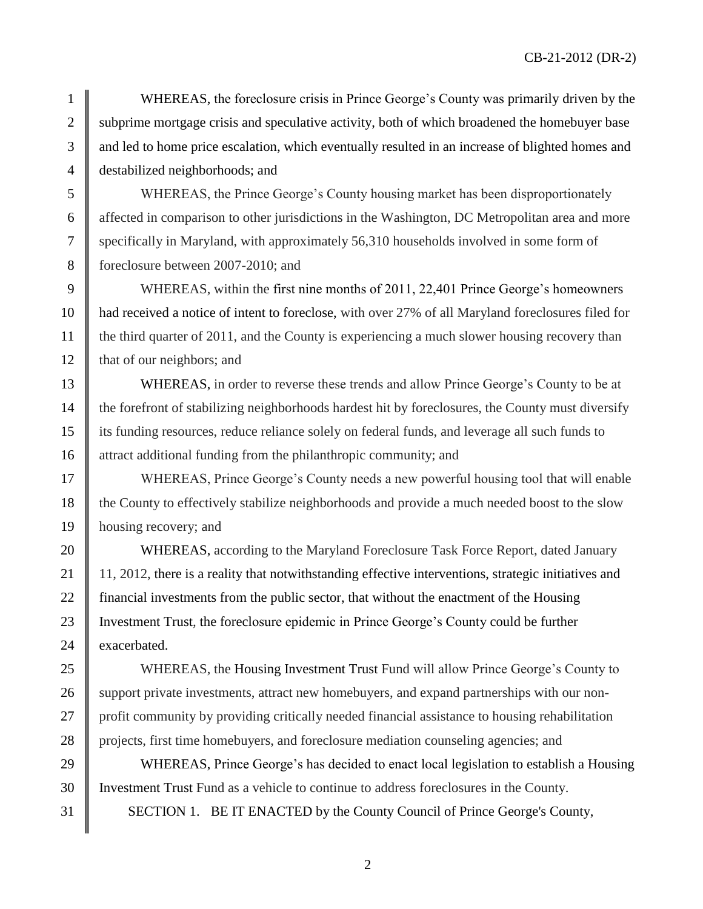1 WHEREAS, the foreclosure crisis in Prince George's County was primarily driven by the 2 Subprime mortgage crisis and speculative activity, both of which broadened the homebuyer base 3 and led to home price escalation, which eventually resulted in an increase of blighted homes and 4 destabilized neighborhoods; and

 WHEREAS, the Prince George's County housing market has been disproportionately affected in comparison to other jurisdictions in the Washington, DC Metropolitan area and more specifically in Maryland, with approximately 56,310 households involved in some form of 8 foreclosure between 2007-2010; and

9 WHEREAS, within the first nine months of 2011, 22,401 Prince George's homeowners 10 had received a notice of intent to foreclose, with over 27% of all Maryland foreclosures filed for 11 the third quarter of 2011, and the County is experiencing a much slower housing recovery than 12 | that of our neighbors; and

13 WHEREAS, in order to reverse these trends and allow Prince George's County to be at 14 the forefront of stabilizing neighborhoods hardest hit by foreclosures, the County must diversify 15 its funding resources, reduce reliance solely on federal funds, and leverage all such funds to 16 attract additional funding from the philanthropic community; and

17 WHEREAS, Prince George's County needs a new powerful housing tool that will enable 18 the County to effectively stabilize neighborhoods and provide a much needed boost to the slow 19 housing recovery; and

20 WHEREAS, according to the Maryland Foreclosure Task Force Report, dated January 21 | 11, 2012, there is a reality that notwithstanding effective interventions, strategic initiatives and 22 financial investments from the public sector, that without the enactment of the Housing 23 Investment Trust, the foreclosure epidemic in Prince George's County could be further 24 exacerbated.

25 WHEREAS, the Housing Investment Trust Fund will allow Prince George's County to 26 Support private investments, attract new homebuyers, and expand partnerships with our non-27 | profit community by providing critically needed financial assistance to housing rehabilitation 28 projects, first time homebuyers, and foreclosure mediation counseling agencies; and

29 WHEREAS, Prince George's has decided to enact local legislation to establish a Housing 30 Investment Trust Fund as a vehicle to continue to address foreclosures in the County. 31 SECTION 1. BE IT ENACTED by the County Council of Prince George's County,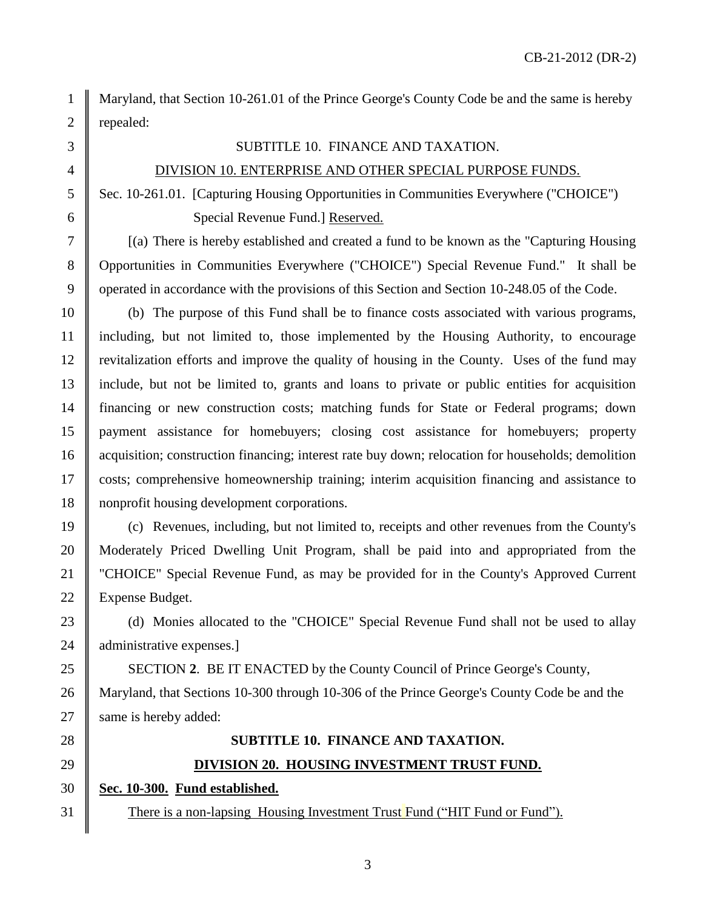1 Maryland, that Section 10-261.01 of the Prince George's County Code be and the same is hereby 2 || repealed:

#### 3 SUBTITLE 10. FINANCE AND TAXATION.

#### 4 | DIVISION 10. ENTERPRISE AND OTHER SPECIAL PURPOSE FUNDS.

5 Sec. 10-261.01. [Capturing Housing Opportunities in Communities Everywhere ("CHOICE") 6 Special Revenue Fund.] Reserved.

 $7 \parallel$  [(a) There is hereby established and created a fund to be known as the "Capturing Housing" 8 Opportunities in Communities Everywhere ("CHOICE") Special Revenue Fund." It shall be 9 operated in accordance with the provisions of this Section and Section 10-248.05 of the Code.

 (b) The purpose of this Fund shall be to finance costs associated with various programs, including, but not limited to, those implemented by the Housing Authority, to encourage revitalization efforts and improve the quality of housing in the County. Uses of the fund may include, but not be limited to, grants and loans to private or public entities for acquisition financing or new construction costs; matching funds for State or Federal programs; down payment assistance for homebuyers; closing cost assistance for homebuyers; property 16 acquisition; construction financing; interest rate buy down; relocation for households; demolition costs; comprehensive homeownership training; interim acquisition financing and assistance to nonprofit housing development corporations.

19 (c) Revenues, including, but not limited to, receipts and other revenues from the County's 20 Moderately Priced Dwelling Unit Program, shall be paid into and appropriated from the 21 "CHOICE" Special Revenue Fund, as may be provided for in the County's Approved Current 22 | Expense Budget.

23 (d) Monies allocated to the "CHOICE" Special Revenue Fund shall not be used to allay 24  $\parallel$  administrative expenses.

25 SECTION 2. BE IT ENACTED by the County Council of Prince George's County, 26 Maryland, that Sections 10-300 through 10-306 of the Prince George's County Code be and the 27 | same is hereby added:

# 28 **SUBTITLE 10. FINANCE AND TAXATION.** 29 **DIVISION 20. HOUSING INVESTMENT TRUST FUND.**

30 **Sec. 10-300. Fund established.**

31 There is a non-lapsing Housing Investment Trust Fund ("HIT Fund or Fund").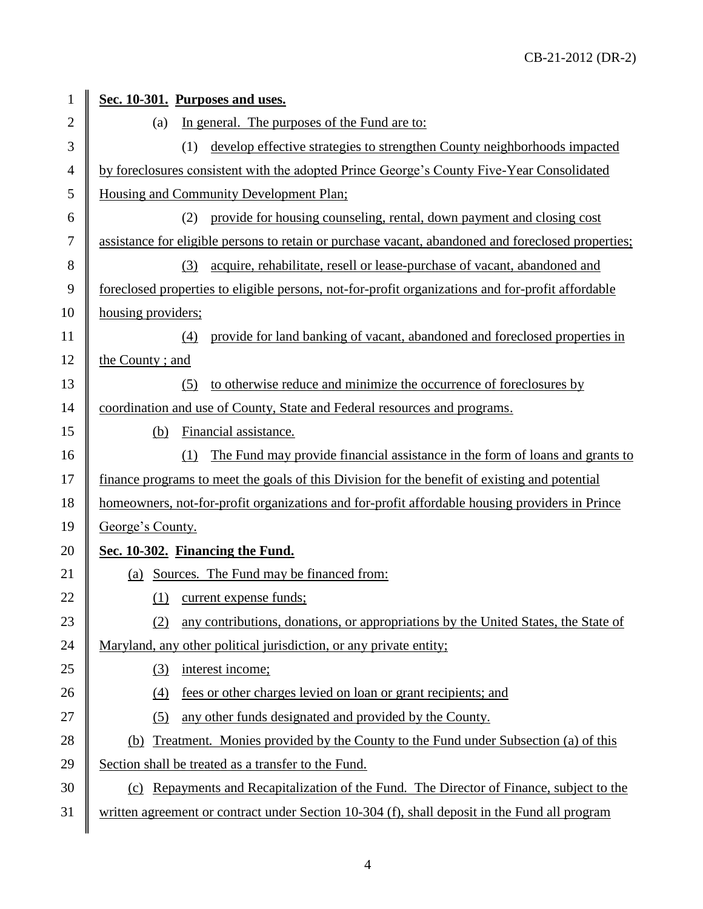| 1              | Sec. 10-301. Purposes and uses.                                                                    |  |
|----------------|----------------------------------------------------------------------------------------------------|--|
| $\overline{2}$ | In general. The purposes of the Fund are to:<br>(a)                                                |  |
| 3              | develop effective strategies to strengthen County neighborhoods impacted<br>(1)                    |  |
| 4              | by foreclosures consistent with the adopted Prince George's County Five-Year Consolidated          |  |
| 5              | Housing and Community Development Plan;                                                            |  |
| 6              | provide for housing counseling, rental, down payment and closing cost<br>(2)                       |  |
| $\tau$         | assistance for eligible persons to retain or purchase vacant, abandoned and foreclosed properties; |  |
| 8              | acquire, rehabilitate, resell or lease-purchase of vacant, abandoned and<br>(3)                    |  |
| 9              | foreclosed properties to eligible persons, not-for-profit organizations and for-profit affordable  |  |
| 10             | housing providers;                                                                                 |  |
| 11             | provide for land banking of vacant, abandoned and foreclosed properties in<br>(4)                  |  |
| 12             | the County; and                                                                                    |  |
| 13             | to otherwise reduce and minimize the occurrence of foreclosures by<br>(5)                          |  |
| 14             | coordination and use of County, State and Federal resources and programs.                          |  |
| 15             | Financial assistance.<br>(b)                                                                       |  |
| 16             | The Fund may provide financial assistance in the form of loans and grants to<br>(1)                |  |
| 17             | finance programs to meet the goals of this Division for the benefit of existing and potential      |  |
| 18             | homeowners, not-for-profit organizations and for-profit affordable housing providers in Prince     |  |
| 19             | George's County.                                                                                   |  |
| 20             | Sec. 10-302. Financing the Fund.                                                                   |  |
| 21             | (a) Sources. The Fund may be financed from:                                                        |  |
| 22             | (1) current expense funds;                                                                         |  |
| 23             | any contributions, donations, or appropriations by the United States, the State of<br>(2)          |  |
| 24             | Maryland, any other political jurisdiction, or any private entity;                                 |  |
| 25             | interest income;<br>(3)                                                                            |  |
| 26             | fees or other charges levied on loan or grant recipients; and<br>(4)                               |  |
| 27             | any other funds designated and provided by the County.<br>(5)                                      |  |
| 28             | (b) Treatment. Monies provided by the County to the Fund under Subsection (a) of this              |  |
| 29             | Section shall be treated as a transfer to the Fund.                                                |  |
| 30             | Repayments and Recapitalization of the Fund. The Director of Finance, subject to the<br>(c)        |  |
| 31             | written agreement or contract under Section 10-304 (f), shall deposit in the Fund all program      |  |
|                |                                                                                                    |  |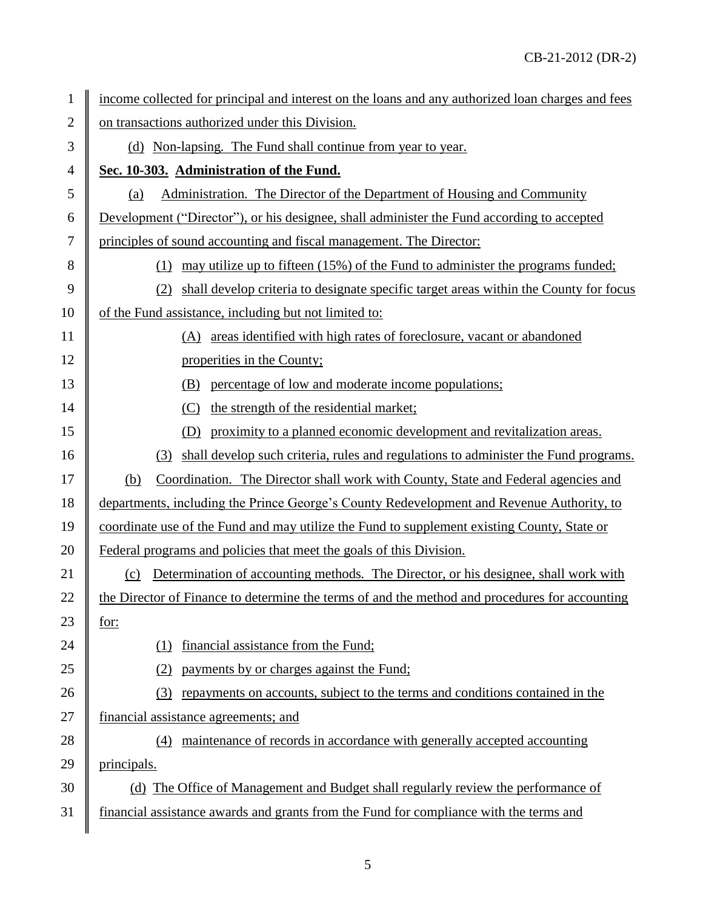| 1              | income collected for principal and interest on the loans and any authorized loan charges and fees |  |  |
|----------------|---------------------------------------------------------------------------------------------------|--|--|
| $\overline{2}$ | on transactions authorized under this Division.                                                   |  |  |
| 3              | (d) Non-lapsing. The Fund shall continue from year to year.                                       |  |  |
| 4              | Sec. 10-303. Administration of the Fund.                                                          |  |  |
| 5              | Administration. The Director of the Department of Housing and Community<br>(a)                    |  |  |
| 6              | Development ("Director"), or his designee, shall administer the Fund according to accepted        |  |  |
| 7              | principles of sound accounting and fiscal management. The Director:                               |  |  |
| 8              | may utilize up to fifteen (15%) of the Fund to administer the programs funded;<br>(1)             |  |  |
| 9              | shall develop criteria to designate specific target areas within the County for focus             |  |  |
| 10             | of the Fund assistance, including but not limited to:                                             |  |  |
| 11             | (A) areas identified with high rates of foreclosure, vacant or abandoned                          |  |  |
| 12             | properities in the County;                                                                        |  |  |
| 13             | percentage of low and moderate income populations;<br>(B)                                         |  |  |
| 14             | the strength of the residential market;                                                           |  |  |
| 15             | proximity to a planned economic development and revitalization areas.<br>(D)                      |  |  |
| 16             | shall develop such criteria, rules and regulations to administer the Fund programs.<br>(3)        |  |  |
| 17             | Coordination. The Director shall work with County, State and Federal agencies and<br>(b)          |  |  |
| 18             | departments, including the Prince George's County Redevelopment and Revenue Authority, to         |  |  |
| 19             | coordinate use of the Fund and may utilize the Fund to supplement existing County, State or       |  |  |
| 20             | Federal programs and policies that meet the goals of this Division.                               |  |  |
| 21             | Determination of accounting methods. The Director, or his designee, shall work with<br>(c)        |  |  |
| 22             | the Director of Finance to determine the terms of and the method and procedures for accounting    |  |  |
| 23             | for:                                                                                              |  |  |
| 24             | financial assistance from the Fund;<br>(1)                                                        |  |  |
| 25             | payments by or charges against the Fund;                                                          |  |  |
| 26             | repayments on accounts, subject to the terms and conditions contained in the<br>(3)               |  |  |
| 27             | financial assistance agreements; and                                                              |  |  |
| 28             | maintenance of records in accordance with generally accepted accounting<br>(4)                    |  |  |
| 29             | principals.                                                                                       |  |  |
| 30             | (d) The Office of Management and Budget shall regularly review the performance of                 |  |  |
| 31             | financial assistance awards and grants from the Fund for compliance with the terms and            |  |  |
|                |                                                                                                   |  |  |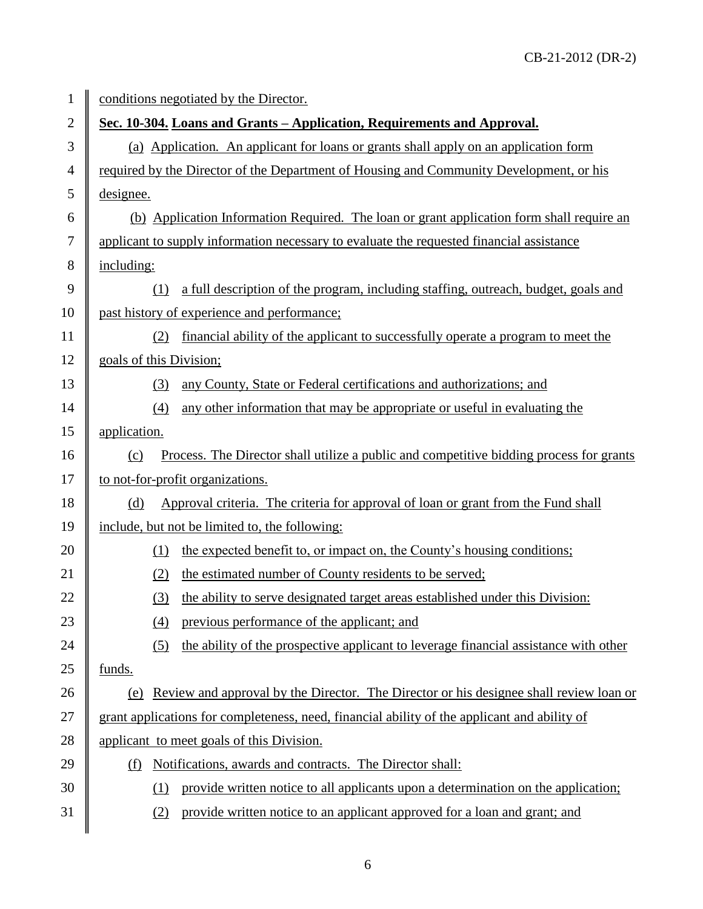| $\mathbf{1}$   | conditions negotiated by the Director.                                                         |  |  |
|----------------|------------------------------------------------------------------------------------------------|--|--|
| $\overline{2}$ | Sec. 10-304. Loans and Grants – Application, Requirements and Approval.                        |  |  |
| 3              | (a) Application. An applicant for loans or grants shall apply on an application form           |  |  |
| $\overline{4}$ | required by the Director of the Department of Housing and Community Development, or his        |  |  |
| 5              | designee.                                                                                      |  |  |
| 6              | (b) Application Information Required. The loan or grant application form shall require an      |  |  |
| $\tau$         | applicant to supply information necessary to evaluate the requested financial assistance       |  |  |
| 8              | including:                                                                                     |  |  |
| 9              | a full description of the program, including staffing, outreach, budget, goals and<br>(1)      |  |  |
| 10             | past history of experience and performance;                                                    |  |  |
| 11             | financial ability of the applicant to successfully operate a program to meet the<br>(2)        |  |  |
| 12             | goals of this Division;                                                                        |  |  |
| 13             | any County, State or Federal certifications and authorizations; and<br>(3)                     |  |  |
| 14             | any other information that may be appropriate or useful in evaluating the<br>(4)               |  |  |
| 15             | application.                                                                                   |  |  |
| 16             | Process. The Director shall utilize a public and competitive bidding process for grants<br>(c) |  |  |
| 17             | to not-for-profit organizations.                                                               |  |  |
| 18             | Approval criteria. The criteria for approval of loan or grant from the Fund shall<br>(d)       |  |  |
| 19             | include, but not be limited to, the following:                                                 |  |  |
| 20             | the expected benefit to, or impact on, the County's housing conditions;<br>(1)                 |  |  |
| 21             | the estimated number of County residents to be served;<br>(2)                                  |  |  |
| 22             | the ability to serve designated target areas established under this Division:<br>(3)           |  |  |
| 23             | previous performance of the applicant; and<br>(4)                                              |  |  |
| 24             | the ability of the prospective applicant to leverage financial assistance with other<br>(5)    |  |  |
| 25             | funds.                                                                                         |  |  |
| 26             | Review and approval by the Director. The Director or his designee shall review loan or<br>(e)  |  |  |
| 27             | grant applications for completeness, need, financial ability of the applicant and ability of   |  |  |
| 28             | applicant to meet goals of this Division.                                                      |  |  |
| 29             | Notifications, awards and contracts. The Director shall:<br>(f)                                |  |  |
| 30             | provide written notice to all applicants upon a determination on the application;<br>(1)       |  |  |
| 31             | provide written notice to an applicant approved for a loan and grant; and<br>(2)               |  |  |
|                |                                                                                                |  |  |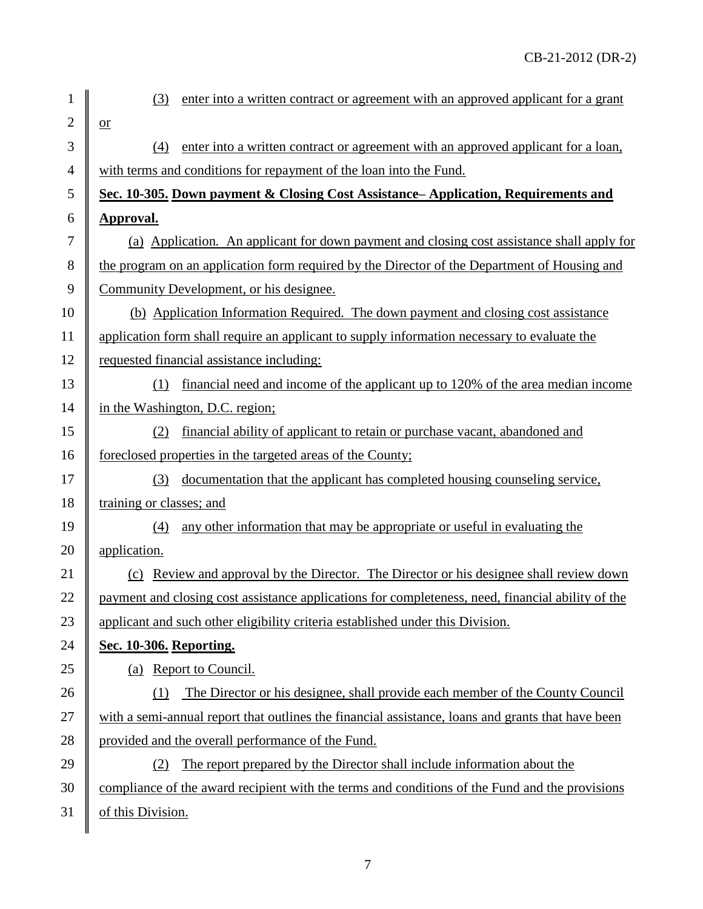| $\mathbf{1}$   | (3)<br>enter into a written contract or agreement with an approved applicant for a grant          |  |  |  |  |
|----------------|---------------------------------------------------------------------------------------------------|--|--|--|--|
| $\overline{2}$ | $\overline{or}$                                                                                   |  |  |  |  |
| $\mathfrak{Z}$ | enter into a written contract or agreement with an approved applicant for a loan,<br>(4)          |  |  |  |  |
| $\overline{4}$ | with terms and conditions for repayment of the loan into the Fund.                                |  |  |  |  |
| 5              | Sec. 10-305. Down payment & Closing Cost Assistance– Application, Requirements and                |  |  |  |  |
| 6              | <b>Approval.</b>                                                                                  |  |  |  |  |
| $\tau$         | (a) Application. An applicant for down payment and closing cost assistance shall apply for        |  |  |  |  |
| 8              | the program on an application form required by the Director of the Department of Housing and      |  |  |  |  |
| 9              | Community Development, or his designee.                                                           |  |  |  |  |
| 10             | (b) Application Information Required. The down payment and closing cost assistance                |  |  |  |  |
| 11             | application form shall require an applicant to supply information necessary to evaluate the       |  |  |  |  |
| 12             | requested financial assistance including:                                                         |  |  |  |  |
| 13             | financial need and income of the applicant up to 120% of the area median income<br>(1)            |  |  |  |  |
| 14             | in the Washington, D.C. region;                                                                   |  |  |  |  |
| 15             | financial ability of applicant to retain or purchase vacant, abandoned and<br>(2)                 |  |  |  |  |
| 16             | foreclosed properties in the targeted areas of the County;                                        |  |  |  |  |
| 17             | documentation that the applicant has completed housing counseling service,<br>(3)                 |  |  |  |  |
| 18             | training or classes; and                                                                          |  |  |  |  |
| 19             | any other information that may be appropriate or useful in evaluating the<br>(4)                  |  |  |  |  |
| 20             | application.                                                                                      |  |  |  |  |
| 21             | (c) Review and approval by the Director. The Director or his designee shall review down           |  |  |  |  |
| 22             | payment and closing cost assistance applications for completeness, need, financial ability of the |  |  |  |  |
| 23             | applicant and such other eligibility criteria established under this Division.                    |  |  |  |  |
| 24             | Sec. 10-306. Reporting.                                                                           |  |  |  |  |
| 25             | (a) Report to Council.                                                                            |  |  |  |  |
| 26             | The Director or his designee, shall provide each member of the County Council<br>(1)              |  |  |  |  |
| 27             | with a semi-annual report that outlines the financial assistance, loans and grants that have been |  |  |  |  |
| 28             | provided and the overall performance of the Fund.                                                 |  |  |  |  |
| 29             | The report prepared by the Director shall include information about the<br>(2)                    |  |  |  |  |
| 30             | compliance of the award recipient with the terms and conditions of the Fund and the provisions    |  |  |  |  |
| 31             | of this Division.                                                                                 |  |  |  |  |